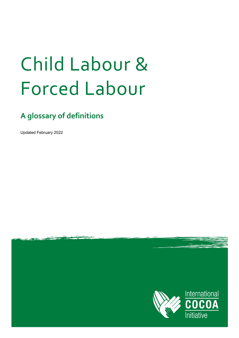# Child Labour & Forced Labour

## **A glossary of definitions**

Updated February 2022

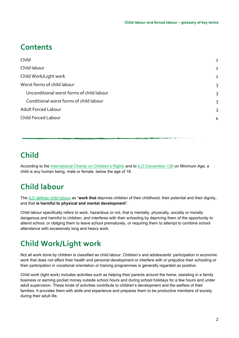#### **Contents**

| $\overline{2}$ |
|----------------|
| $\overline{2}$ |
| $\overline{2}$ |
| 3              |
| 3              |
| 3              |
| 3              |
| 4              |
|                |

## <span id="page-1-0"></span>**Child**

According to the [International Charter on Children's Rights](https://www.ohchr.org/en/professionalinterest/pages/crc.aspx) and to [ILO Convention 138](https://www.ilo.org/dyn/normlex/en/f?p=NORMLEXPUB:12100:0::NO::P12100_ILO_CODE:C138) on Minimum Age, a child is any human being, male or female, below the age of 18.

## <span id="page-1-1"></span>**Child labour**

The [ILO defines child labour](http://www.ilo.org/ipec/facts/lang--en/index.htm) as "**work that** deprives children of their childhood, their potential and their dignity, and that **is harmful to physical and mental development**".

Child labour specifically refers to work, hazardous or not, that is mentally, physically, socially or morally dangerous and harmful to children, and interferes with their schooling by depriving them of the opportunity to attend school, or obliging them to leave school prematurely, or requiring them to attempt to combine school attendance with excessively long and heavy work.

## <span id="page-1-2"></span>**Child Work/Light work**

Not all work done by children is classified as child labour. Children's and adolescents' participation in economic work that does not affect their health and personal development or interfere with or prejudice their schooling or their participation in vocational orientation or training programmes is generally regarded as positive.

Child work (light work) includes activities such as helping their parents around the home, assisting in a family business or earning pocket money outside school hours and during school holidays for a few hours and under adult supervision. These kinds of activities contribute to children's development and the welfare of their families. It provides them with skills and experience and prepares them to be productive members of society during their adult life.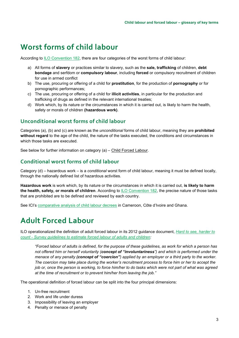#### <span id="page-2-0"></span>**Worst forms of child labour**

According to [ILO Convention 182,](https://www.ilo.org/dyn/normlex/en/f?p=NORMLEXPUB:12100:0::NO::P12100_ILO_CODE:C182) there are four categories of the worst forms of child labour:

- a) All forms of **slavery** or practices similar to slavery, such as the **sale, trafficking** of children, **debt bondage** and serfdom or **compulsory labour**, including **forced** or compulsory recruitment of children for use in armed conflict
- b) The use, procuring or offering of a child for **prostitution**, for the production of **pornography** or for pornographic performances;
- c) The use, procuring or offering of a child for **illicit activities**, in particular for the production and trafficking of drugs as defined in the relevant international treaties;
- d) Work which, by its nature or the circumstances in which it is carried out, is likely to harm the health, safety or morals of children **(hazardous work)**.

#### <span id="page-2-1"></span>**Unconditional worst forms of child labour**

Categories (a), (b) and (c) are known as the *unconditional* forms of child labour, meaning they are **prohibited without regard** to the age of the child, the nature of the tasks executed, the conditions and circumstances in which those tasks are executed.

See below for further information on category (a) – [Child Forced Labour.](#page-3-0)

#### <span id="page-2-2"></span>**Conditional worst forms of child labour**

Category (d) – hazardous work – is a *conditional* worst form of child labour, meaning it must be defined locally, through the nationally defined list of hazardous activities.

**Hazardous work** is work which, by its nature or the circumstances in which it is carried out, **is likely to harm the health, safety, or morals of children**. According to [ILO Convention 182,](https://www.ilo.org/dyn/normlex/en/f?p=NORMLEXPUB:12100:0::NO::P12100_ILO_CODE:C182) the precise nature of those tasks that are prohibited are to be defined and reviewed by each country.

See ICI's [comparative analysis of child labour decrees](https://www.cocoainitiative.org/knowledge-hub/resources/comparative-analysis-child-labour-decrees-ghana-cote-divoire-and-cameroon) in Cameroon, Côte d'Ivoire and Ghana.

#### <span id="page-2-3"></span>**Adult Forced Labour**

ILO operationalized the definition of adult forced labour in its 2012 guidance document, *[Hard to see, harder to](https://www.ilo.org/global/topics/forced-labour/publications/WCMS_182096/lang--en/index.htm)  count - [Survey guidelines to estimate forced labour of adults and children:](https://www.ilo.org/global/topics/forced-labour/publications/WCMS_182096/lang--en/index.htm)*

*"Forced labour of adults is defined, for the purpose of these guidelines, as work for which a person has not offered him or herself voluntarily (concept of "involuntariness") and which is performed under the menace of any penalty (concept of "coercion") applied by an employer or a third party to the worker. The coercion may take place during the worker's recruitment process to force him or her to accept the job or, once the person is working, to force him/her to do tasks which were not part of what was agreed at the time of recruitment or to prevent him/her from leaving the job."*

The operational definition of forced labour can be split into the four principal dimensions:

- 1. Un-free recruitment
- 2. Work and life under duress
- 3. Impossibility of leaving an employer
- 4. Penalty or menace of penalty